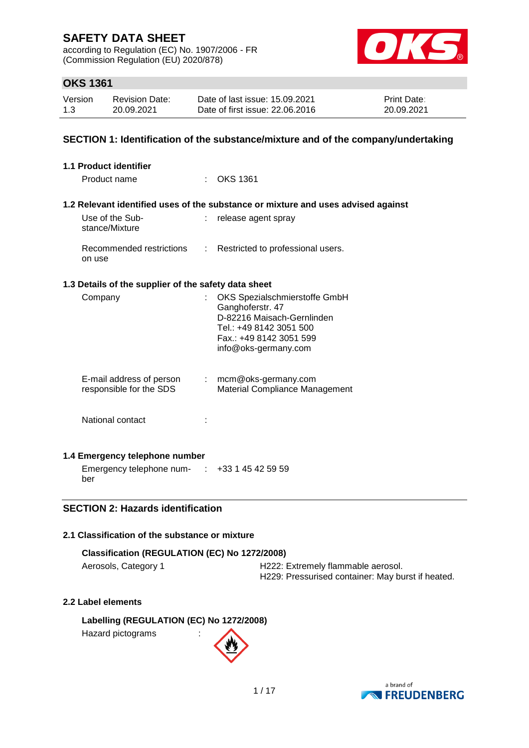according to Regulation (EC) No. 1907/2006 - FR (Commission Regulation (EU) 2020/878)



## **OKS 1361**

| Version | Revision Date: | Date of last issue: 15.09.2021  | <b>Print Date:</b> |
|---------|----------------|---------------------------------|--------------------|
| 1.3     | 20.09.2021     | Date of first issue: 22,06,2016 | 20.09.2021         |

### **SECTION 1: Identification of the substance/mixture and of the company/undertaking**

| 1.1 Product identifier                                    |    |                                                                                                                                                               |
|-----------------------------------------------------------|----|---------------------------------------------------------------------------------------------------------------------------------------------------------------|
| Product name                                              |    | $\therefore$ OKS 1361                                                                                                                                         |
|                                                           |    | 1.2 Relevant identified uses of the substance or mixture and uses advised against                                                                             |
| Use of the Sub-<br>stance/Mixture                         |    | release agent spray                                                                                                                                           |
| Recommended restrictions<br>on use                        |    | : Restricted to professional users.                                                                                                                           |
| 1.3 Details of the supplier of the safety data sheet      |    |                                                                                                                                                               |
| Company                                                   | t. | OKS Spezialschmierstoffe GmbH<br>Ganghoferstr. 47<br>D-82216 Maisach-Gernlinden<br>Tel.: +49 8142 3051 500<br>Fax.: +49 8142 3051 599<br>info@oks-germany.com |
| E-mail address of person<br>responsible for the SDS       |    | $:$ mcm@oks-germany.com<br>Material Compliance Management                                                                                                     |
| National contact                                          |    |                                                                                                                                                               |
| 1.4 Emergency telephone number                            |    |                                                                                                                                                               |
| Emergency telephone num- $\cdot$ +33 1 45 42 59 59<br>ber |    |                                                                                                                                                               |

### **SECTION 2: Hazards identification**

## **2.1 Classification of the substance or mixture**

### **Classification (REGULATION (EC) No 1272/2008)**

Aerosols, Category 1 **H222: Extremely flammable aerosol.** H229: Pressurised container: May burst if heated.

# **2.2 Label elements**

**Labelling (REGULATION (EC) No 1272/2008)** Hazard pictograms :

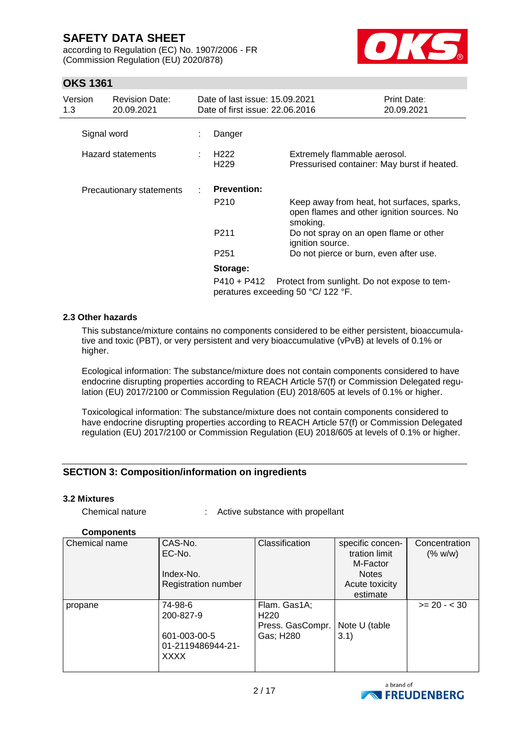according to Regulation (EC) No. 1907/2006 - FR (Commission Regulation (EU) 2020/878)



## **OKS 1361**

| Version<br>1.3 | <b>Revision Date:</b><br>20.09.2021 | Date of last issue: 15.09.2021<br>Date of first issue: 22,06,2016 |                                                                                                      | Print Date:<br>20.09.2021 |
|----------------|-------------------------------------|-------------------------------------------------------------------|------------------------------------------------------------------------------------------------------|---------------------------|
|                | Signal word                         | Danger                                                            |                                                                                                      |                           |
|                | <b>Hazard statements</b>            | H <sub>222</sub><br>H <sub>229</sub>                              | Extremely flammable aerosol.<br>Pressurised container: May burst if heated.                          |                           |
|                | Precautionary statements            | <b>Prevention:</b>                                                |                                                                                                      |                           |
|                |                                     | P210                                                              | Keep away from heat, hot surfaces, sparks,<br>open flames and other ignition sources. No<br>smoking. |                           |
|                |                                     | P211                                                              | Do not spray on an open flame or other<br>ignition source.                                           |                           |
|                |                                     | P <sub>251</sub>                                                  | Do not pierce or burn, even after use.                                                               |                           |
|                |                                     | Storage:                                                          |                                                                                                      |                           |
|                |                                     | P410 + P412                                                       | Protect from sunlight. Do not expose to tem-<br>peratures exceeding 50 °C/ 122 °F.                   |                           |

#### **2.3 Other hazards**

This substance/mixture contains no components considered to be either persistent, bioaccumulative and toxic (PBT), or very persistent and very bioaccumulative (vPvB) at levels of 0.1% or higher.

Ecological information: The substance/mixture does not contain components considered to have endocrine disrupting properties according to REACH Article 57(f) or Commission Delegated regulation (EU) 2017/2100 or Commission Regulation (EU) 2018/605 at levels of 0.1% or higher.

Toxicological information: The substance/mixture does not contain components considered to have endocrine disrupting properties according to REACH Article 57(f) or Commission Delegated regulation (EU) 2017/2100 or Commission Regulation (EU) 2018/605 at levels of 0.1% or higher.

## **SECTION 3: Composition/information on ingredients**

#### **3.2 Mixtures**

| Chemical nature |  | Active substance with propellant |  |
|-----------------|--|----------------------------------|--|
|-----------------|--|----------------------------------|--|

### **Components**

| Chemical name | CAS-No.<br>EC-No.<br>Index-No.<br>Registration number             | Classification                                                    | specific concen-<br>tration limit<br>M-Factor<br><b>Notes</b><br>Acute toxicity<br>estimate | Concentration<br>(% w/w) |
|---------------|-------------------------------------------------------------------|-------------------------------------------------------------------|---------------------------------------------------------------------------------------------|--------------------------|
| propane       | 74-98-6<br>200-827-9<br>601-003-00-5<br>01-2119486944-21-<br>XXXX | Flam. Gas1A;<br>H <sub>220</sub><br>Press. GasCompr.<br>Gas; H280 | Note U (table<br>3.1)                                                                       | $>= 20 - < 30$           |

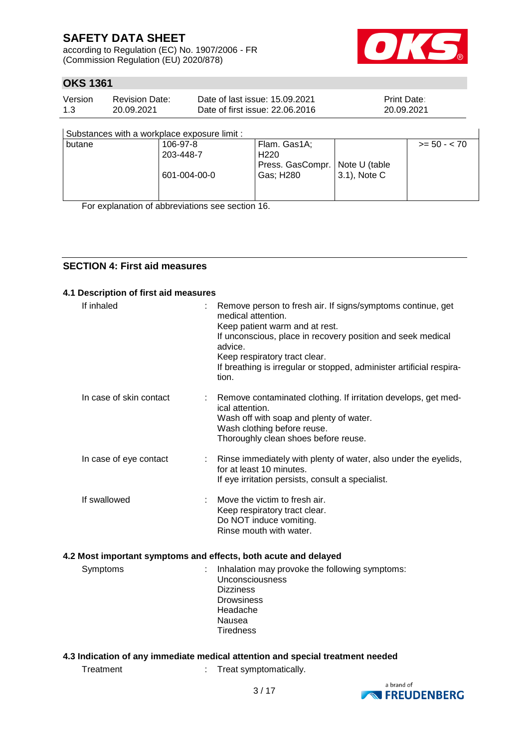according to Regulation (EC) No. 1907/2006 - FR (Commission Regulation (EU) 2020/878)



 $\overline{\phantom{a}}$ 

## **OKS 1361**

| Version | Revision Date: | Date of last issue: 15.09.2021  | <b>Print Date:</b> |
|---------|----------------|---------------------------------|--------------------|
| 1.3     | 20.09.2021     | Date of first issue: 22,06,2016 | 20.09.2021         |

| Substances with a workplace exposure limit : |  |
|----------------------------------------------|--|
|                                              |  |

| butane | 106-97-8     | Flam. Gas1A;                     |                  | $>= 50 - 70$ |
|--------|--------------|----------------------------------|------------------|--------------|
|        | 203-448-7    | H <sub>220</sub>                 |                  |              |
|        |              | Press. GasCompr.   Note U (table |                  |              |
|        | 601-004-00-0 | Gas; H280                        | $(3.1)$ , Note C |              |
|        |              |                                  |                  |              |
|        |              |                                  |                  |              |

For explanation of abbreviations see section 16.

## **SECTION 4: First aid measures**

#### **4.1 Description of first aid measures**

| If inhaled              | Remove person to fresh air. If signs/symptoms continue, get<br>medical attention.<br>Keep patient warm and at rest.<br>If unconscious, place in recovery position and seek medical<br>advice.<br>Keep respiratory tract clear.<br>If breathing is irregular or stopped, administer artificial respira-<br>tion. |
|-------------------------|-----------------------------------------------------------------------------------------------------------------------------------------------------------------------------------------------------------------------------------------------------------------------------------------------------------------|
| In case of skin contact | Remove contaminated clothing. If irritation develops, get med-<br>ical attention.<br>Wash off with soap and plenty of water.<br>Wash clothing before reuse.<br>Thoroughly clean shoes before reuse.                                                                                                             |
| In case of eye contact  | Rinse immediately with plenty of water, also under the eyelids,<br>for at least 10 minutes.<br>If eye irritation persists, consult a specialist.                                                                                                                                                                |
| If swallowed            | Move the victim to fresh air.<br>Keep respiratory tract clear.<br>Do NOT induce vomiting.<br>Rinse mouth with water.                                                                                                                                                                                            |
|                         | 4.2 Most important symptoms and effects, both acute and delayed                                                                                                                                                                                                                                                 |
| Symptoms                | Inhalation may provoke the following symptoms:<br>Unconsciousness<br><b>Dizziness</b><br><b>Drowsiness</b><br>Headache<br>Nausea<br><b>Tiredness</b>                                                                                                                                                            |
|                         |                                                                                                                                                                                                                                                                                                                 |

## **4.3 Indication of any immediate medical attention and special treatment needed**

Treatment : Treat symptomatically.

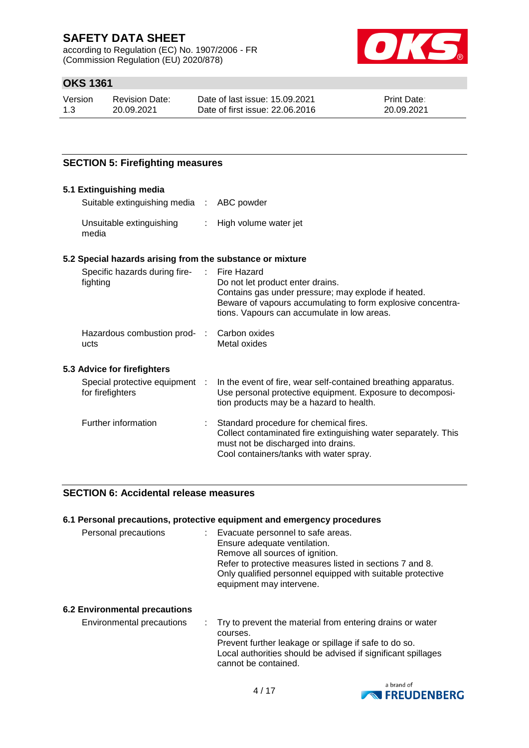according to Regulation (EC) No. 1907/2006 - FR (Commission Regulation (EU) 2020/878)



# **OKS 1361**

| Version | Revision Date: | Date of last issue: 15.09.2021  | <b>Print Date:</b> |
|---------|----------------|---------------------------------|--------------------|
| 1.3     | 20.09.2021     | Date of first issue: 22,06,2016 | 20.09.2021         |

### **SECTION 5: Firefighting measures**

| 5.1 Extinguishing media                                   |                                                                                                                                                                                                                      |
|-----------------------------------------------------------|----------------------------------------------------------------------------------------------------------------------------------------------------------------------------------------------------------------------|
| Suitable extinguishing media : ABC powder                 |                                                                                                                                                                                                                      |
| Unsuitable extinguishing<br>media                         | : High volume water jet                                                                                                                                                                                              |
| 5.2 Special hazards arising from the substance or mixture |                                                                                                                                                                                                                      |
| Specific hazards during fire-<br>:<br>fighting            | Fire Hazard<br>Do not let product enter drains.<br>Contains gas under pressure; may explode if heated.<br>Beware of vapours accumulating to form explosive concentra-<br>tions. Vapours can accumulate in low areas. |
| Hazardous combustion prod- :<br>ucts                      | Carbon oxides<br>Metal oxides                                                                                                                                                                                        |
| 5.3 Advice for firefighters                               |                                                                                                                                                                                                                      |
| Special protective equipment :<br>for firefighters        | In the event of fire, wear self-contained breathing apparatus.<br>Use personal protective equipment. Exposure to decomposi-<br>tion products may be a hazard to health.                                              |
| Further information                                       | Standard procedure for chemical fires.<br>Collect contaminated fire extinguishing water separately. This<br>must not be discharged into drains.<br>Cool containers/tanks with water spray.                           |

### **SECTION 6: Accidental release measures**

#### **6.1 Personal precautions, protective equipment and emergency procedures**

| Personal precautions                 | Evacuate personnel to safe areas.<br>Ensure adequate ventilation.<br>Remove all sources of ignition.<br>Refer to protective measures listed in sections 7 and 8.<br>Only qualified personnel equipped with suitable protective<br>equipment may intervene. |
|--------------------------------------|------------------------------------------------------------------------------------------------------------------------------------------------------------------------------------------------------------------------------------------------------------|
| <b>6.2 Environmental precautions</b> |                                                                                                                                                                                                                                                            |

Environmental precautions : Try to prevent the material from entering drains or water courses. Prevent further leakage or spillage if safe to do so. Local authorities should be advised if significant spillages cannot be contained.

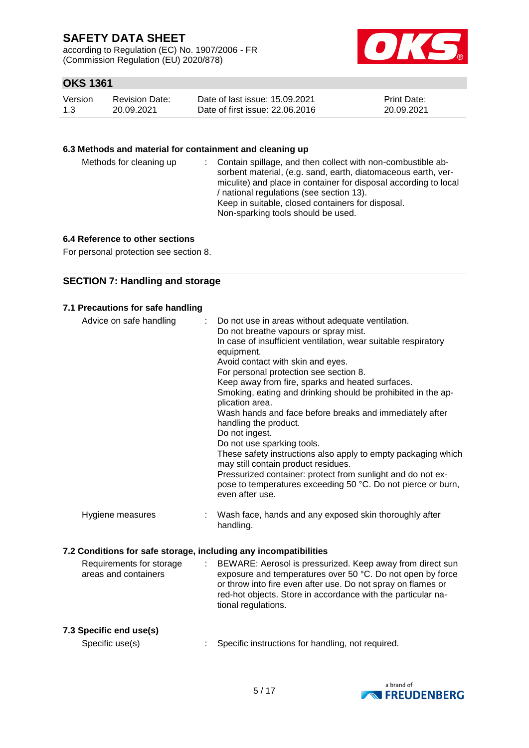according to Regulation (EC) No. 1907/2006 - FR (Commission Regulation (EU) 2020/878)



## **OKS 1361**

| Version | <b>Revision Date:</b> | Date of last issue: 15.09.2021  | <b>Print Date:</b> |
|---------|-----------------------|---------------------------------|--------------------|
| 1.3     | 20.09.2021            | Date of first issue: 22,06,2016 | 20.09.2021         |

#### **6.3 Methods and material for containment and cleaning up**

| Methods for cleaning up |  | : Contain spillage, and then collect with non-combustible ab-<br>sorbent material, (e.g. sand, earth, diatomaceous earth, ver-<br>miculite) and place in container for disposal according to local<br>/ national regulations (see section 13).<br>Keep in suitable, closed containers for disposal.<br>Non-sparking tools should be used. |
|-------------------------|--|-------------------------------------------------------------------------------------------------------------------------------------------------------------------------------------------------------------------------------------------------------------------------------------------------------------------------------------------|
|-------------------------|--|-------------------------------------------------------------------------------------------------------------------------------------------------------------------------------------------------------------------------------------------------------------------------------------------------------------------------------------------|

### **6.4 Reference to other sections**

For personal protection see section 8.

## **SECTION 7: Handling and storage**

|  | 7.1 Precautions for safe handling |  |  |
|--|-----------------------------------|--|--|
|--|-----------------------------------|--|--|

| Advice on safe handling                                          |   | Do not use in areas without adequate ventilation.<br>Do not breathe vapours or spray mist.<br>In case of insufficient ventilation, wear suitable respiratory<br>equipment.<br>Avoid contact with skin and eyes.<br>For personal protection see section 8.<br>Keep away from fire, sparks and heated surfaces.<br>Smoking, eating and drinking should be prohibited in the ap-<br>plication area.<br>Wash hands and face before breaks and immediately after<br>handling the product.<br>Do not ingest.<br>Do not use sparking tools.<br>These safety instructions also apply to empty packaging which<br>may still contain product residues.<br>Pressurized container: protect from sunlight and do not ex-<br>pose to temperatures exceeding 50 °C. Do not pierce or burn,<br>even after use. |
|------------------------------------------------------------------|---|------------------------------------------------------------------------------------------------------------------------------------------------------------------------------------------------------------------------------------------------------------------------------------------------------------------------------------------------------------------------------------------------------------------------------------------------------------------------------------------------------------------------------------------------------------------------------------------------------------------------------------------------------------------------------------------------------------------------------------------------------------------------------------------------|
| Hygiene measures                                                 |   | Wash face, hands and any exposed skin thoroughly after<br>handling.                                                                                                                                                                                                                                                                                                                                                                                                                                                                                                                                                                                                                                                                                                                            |
| 7.2 Conditions for safe storage, including any incompatibilities |   |                                                                                                                                                                                                                                                                                                                                                                                                                                                                                                                                                                                                                                                                                                                                                                                                |
| Requirements for storage<br>areas and containers                 | ÷ | BEWARE: Aerosol is pressurized. Keep away from direct sun<br>exposure and temperatures over 50 °C. Do not open by force<br>or throw into fire even after use. Do not spray on flames or<br>red-hot objects. Store in accordance with the particular na-<br>tional regulations.                                                                                                                                                                                                                                                                                                                                                                                                                                                                                                                 |
| 7.3 Specific end use(s)                                          |   |                                                                                                                                                                                                                                                                                                                                                                                                                                                                                                                                                                                                                                                                                                                                                                                                |
| $C_{\text{max}}(t)$                                              |   | Canadiin innterrational for bondling innternational                                                                                                                                                                                                                                                                                                                                                                                                                                                                                                                                                                                                                                                                                                                                            |



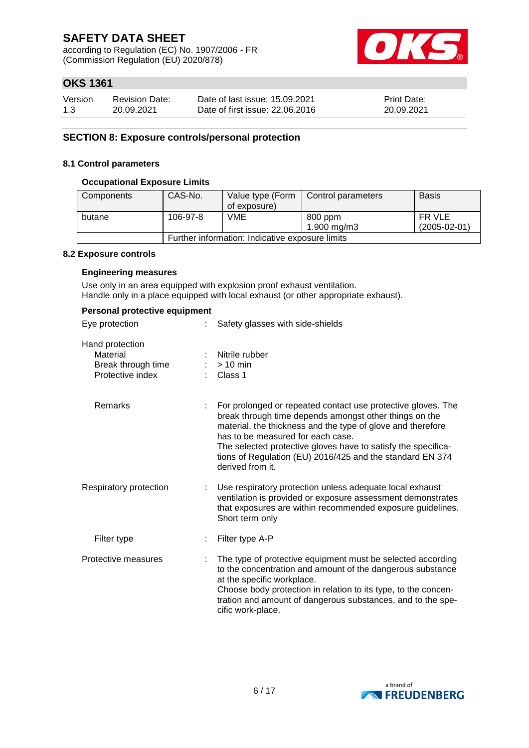according to Regulation (EC) No. 1907/2006 - FR (Commission Regulation (EU) 2020/878)



# **OKS 1361**

| Version | <b>Revision Date:</b> | Date of last issue: 15.09.2021  | <b>Print Date:</b> |
|---------|-----------------------|---------------------------------|--------------------|
| 1.3     | 20.09.2021            | Date of first issue: 22,06,2016 | 20.09.2021         |

### **SECTION 8: Exposure controls/personal protection**

#### **8.1 Control parameters**

#### **Occupational Exposure Limits**

| Components | CAS-No.                                         | Value type (Form<br>of exposure) | Control parameters     | <b>Basis</b>                 |  |
|------------|-------------------------------------------------|----------------------------------|------------------------|------------------------------|--|
| butane     | 106-97-8                                        | VME                              | 800 ppm<br>1.900 mg/m3 | FR VLE<br>$(2005 - 02 - 01)$ |  |
|            | Further information: Indicative exposure limits |                                  |                        |                              |  |

#### **8.2 Exposure controls**

#### **Engineering measures**

Use only in an area equipped with explosion proof exhaust ventilation. Handle only in a place equipped with local exhaust (or other appropriate exhaust).

|  |  | Personal protective equipment |
|--|--|-------------------------------|
|--|--|-------------------------------|

| Eye protection                                                        |  | Safety glasses with side-shields                                                                                                                                                                                                                                                                                                                                             |  |
|-----------------------------------------------------------------------|--|------------------------------------------------------------------------------------------------------------------------------------------------------------------------------------------------------------------------------------------------------------------------------------------------------------------------------------------------------------------------------|--|
| Hand protection<br>Material<br>Break through time<br>Protective index |  | Nitrile rubber<br>$>10$ min<br>Class 1                                                                                                                                                                                                                                                                                                                                       |  |
| Remarks                                                               |  | For prolonged or repeated contact use protective gloves. The<br>break through time depends amongst other things on the<br>material, the thickness and the type of glove and therefore<br>has to be measured for each case.<br>The selected protective gloves have to satisfy the specifica-<br>tions of Regulation (EU) 2016/425 and the standard EN 374<br>derived from it. |  |
| Respiratory protection                                                |  | Use respiratory protection unless adequate local exhaust<br>ventilation is provided or exposure assessment demonstrates<br>that exposures are within recommended exposure guidelines.<br>Short term only                                                                                                                                                                     |  |
| Filter type                                                           |  | Filter type A-P                                                                                                                                                                                                                                                                                                                                                              |  |
| Protective measures                                                   |  | The type of protective equipment must be selected according<br>to the concentration and amount of the dangerous substance<br>at the specific workplace.<br>Choose body protection in relation to its type, to the concen-<br>tration and amount of dangerous substances, and to the spe-<br>cific work-place.                                                                |  |

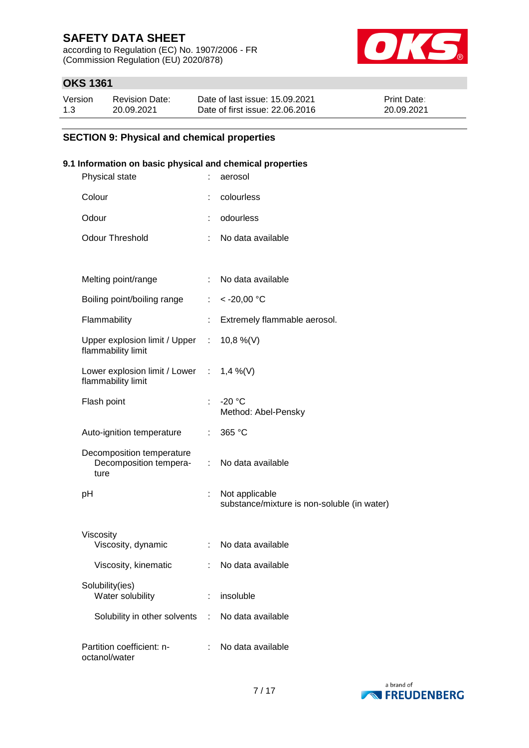according to Regulation (EC) No. 1907/2006 - FR (Commission Regulation (EU) 2020/878)



# **OKS 1361**

| Version | <b>Revision Date:</b> | Date of last issue: 15.09.2021  | <b>Print Date:</b> |
|---------|-----------------------|---------------------------------|--------------------|
| 1.3     | 20.09.2021            | Date of first issue: 22.06.2016 | 20.09.2021         |

### **SECTION 9: Physical and chemical properties**

### **9.1 Information on basic physical and chemical properties**

| Physical state  |                                                                |                       | aerosol                                                       |
|-----------------|----------------------------------------------------------------|-----------------------|---------------------------------------------------------------|
| Colour          |                                                                |                       | colourless                                                    |
| Odour           |                                                                | ÷                     | odourless                                                     |
|                 | <b>Odour Threshold</b>                                         | ÷                     | No data available                                             |
|                 |                                                                |                       |                                                               |
|                 | Melting point/range                                            | ÷                     | No data available                                             |
|                 | Boiling point/boiling range                                    | $\mathbb{Z}^{\times}$ | $< -20,00$ °C                                                 |
| Flammability    |                                                                | ÷                     | Extremely flammable aerosol.                                  |
|                 | Upper explosion limit / Upper :<br>flammability limit          |                       | 10,8 %(V)                                                     |
|                 | Lower explosion limit / Lower : 1,4 %(V)<br>flammability limit |                       |                                                               |
| Flash point     |                                                                |                       | $-20 °C$<br>Method: Abel-Pensky                               |
|                 | Auto-ignition temperature                                      | $\mathbb{R}^n$        | 365 °C                                                        |
| ture            | Decomposition temperature<br>Decomposition tempera-            |                       | : No data available                                           |
| рH              |                                                                | ÷.                    | Not applicable<br>substance/mixture is non-soluble (in water) |
| Viscosity       | Viscosity, dynamic                                             | ÷.                    | No data available                                             |
|                 | Viscosity, kinematic                                           | ÷                     | No data available                                             |
| Solubility(ies) | Water solubility                                               | ÷                     | insoluble                                                     |
|                 | Solubility in other solvents :                                 |                       | No data available                                             |
| octanol/water   | Partition coefficient: n-                                      |                       | No data available                                             |
|                 |                                                                |                       |                                                               |

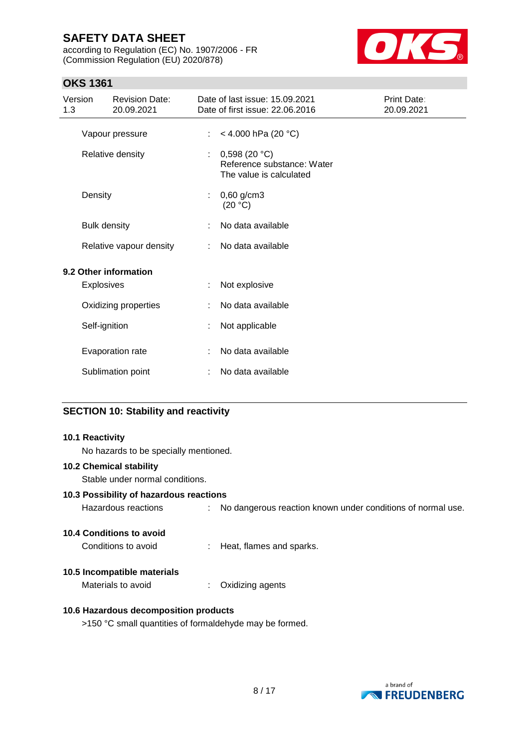according to Regulation (EC) No. 1907/2006 - FR (Commission Regulation (EU) 2020/878)



# **OKS 1361**

| 1.3 | Version             | <b>Revision Date:</b><br>20.09.2021 |    | Date of last issue: 15.09.2021<br>Date of first issue: 22.06.2016     | Print Date:<br>20.09.2021 |
|-----|---------------------|-------------------------------------|----|-----------------------------------------------------------------------|---------------------------|
|     |                     | Vapour pressure                     | ÷. | < 4.000 hPa (20 °C)                                                   |                           |
|     |                     | Relative density                    | ÷  | 0,598(20 °C)<br>Reference substance: Water<br>The value is calculated |                           |
|     | Density             |                                     | ÷  | $0,60$ g/cm3<br>(20 °C)                                               |                           |
|     | <b>Bulk density</b> |                                     | ÷  | No data available                                                     |                           |
|     |                     | Relative vapour density             |    | No data available                                                     |                           |
|     |                     | 9.2 Other information               |    |                                                                       |                           |
|     | <b>Explosives</b>   |                                     | ÷  | Not explosive                                                         |                           |
|     |                     | Oxidizing properties                |    | No data available                                                     |                           |
|     | Self-ignition       |                                     |    | Not applicable                                                        |                           |
|     |                     | Evaporation rate                    |    | No data available                                                     |                           |
|     |                     | Sublimation point                   |    | No data available                                                     |                           |

### **SECTION 10: Stability and reactivity**

#### **10.1 Reactivity**

No hazards to be specially mentioned.

### **10.2 Chemical stability**

Stable under normal conditions.

### **10.3 Possibility of hazardous reactions**

Hazardous reactions : No dangerous reaction known under conditions of normal use.

### **10.4 Conditions to avoid**

Conditions to avoid : Heat, flames and sparks.

### **10.5 Incompatible materials**

Materials to avoid : Oxidizing agents

### **10.6 Hazardous decomposition products**

>150 °C small quantities of formaldehyde may be formed.

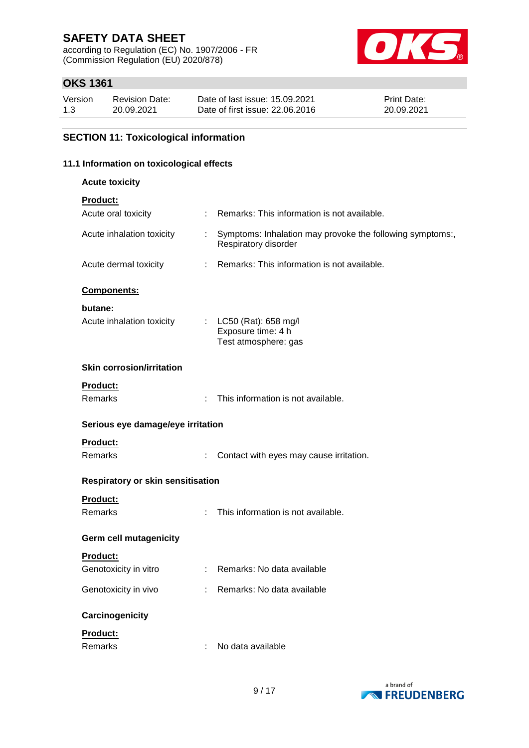according to Regulation (EC) No. 1907/2006 - FR (Commission Regulation (EU) 2020/878)



## **OKS 1361**

| Version | <b>Revision Date:</b> | Date of last issue: 15.09.2021  | <b>Print Date:</b> |
|---------|-----------------------|---------------------------------|--------------------|
| 1.3     | 20.09.2021            | Date of first issue: 22,06,2016 | 20.09.2021         |

# **SECTION 11: Toxicological information**

### **11.1 Information on toxicological effects**

| <b>Acute toxicity</b>                    |                       |                                                                                   |
|------------------------------------------|-----------------------|-----------------------------------------------------------------------------------|
| Product:                                 |                       |                                                                                   |
| Acute oral toxicity                      | t.                    | Remarks: This information is not available.                                       |
| Acute inhalation toxicity                | $\mathbb{Z}^{\times}$ | Symptoms: Inhalation may provoke the following symptoms:,<br>Respiratory disorder |
| Acute dermal toxicity                    | ÷.                    | Remarks: This information is not available.                                       |
| Components:                              |                       |                                                                                   |
| butane:<br>Acute inhalation toxicity     |                       | : $LC50$ (Rat): 658 mg/l<br>Exposure time: 4 h<br>Test atmosphere: gas            |
| <b>Skin corrosion/irritation</b>         |                       |                                                                                   |
| <b>Product:</b><br><b>Remarks</b>        | t.                    | This information is not available.                                                |
| Serious eye damage/eye irritation        |                       |                                                                                   |
| <b>Product:</b><br>Remarks               |                       | Contact with eyes may cause irritation.                                           |
| <b>Respiratory or skin sensitisation</b> |                       |                                                                                   |
| Product:<br>Remarks                      | t.                    | This information is not available.                                                |
| <b>Germ cell mutagenicity</b>            |                       |                                                                                   |
| <b>Product:</b><br>Genotoxicity in vitro |                       | : Remarks: No data available                                                      |
| Genotoxicity in vivo                     | ÷.                    | Remarks: No data available                                                        |
| Carcinogenicity                          |                       |                                                                                   |
| Product:                                 |                       |                                                                                   |
| Remarks                                  |                       | No data available                                                                 |

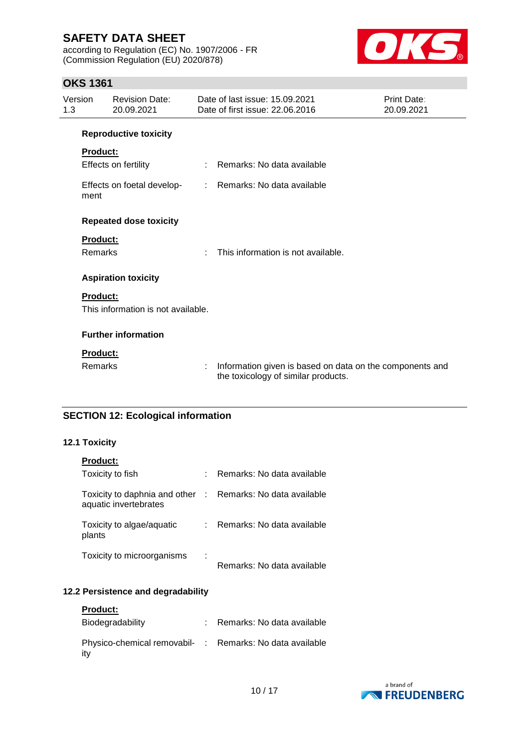according to Regulation (EC) No. 1907/2006 - FR (Commission Regulation (EU) 2020/878)



## **OKS 1361**

| Version<br>1.3 |                 | <b>Revision Date:</b><br>20.09.2021 |    | Date of last issue: 15.09.2021<br>Date of first issue: 22.06.2016                               | Print Date:<br>20.09.2021 |
|----------------|-----------------|-------------------------------------|----|-------------------------------------------------------------------------------------------------|---------------------------|
|                |                 | <b>Reproductive toxicity</b>        |    |                                                                                                 |                           |
|                | <b>Product:</b> |                                     |    |                                                                                                 |                           |
|                |                 | Effects on fertility                | ÷. | Remarks: No data available                                                                      |                           |
|                | ment            | Effects on foetal develop-          |    | : Remarks: No data available                                                                    |                           |
|                |                 | <b>Repeated dose toxicity</b>       |    |                                                                                                 |                           |
|                | <b>Product:</b> |                                     |    |                                                                                                 |                           |
|                | Remarks         |                                     | ٠  | This information is not available.                                                              |                           |
|                |                 | <b>Aspiration toxicity</b>          |    |                                                                                                 |                           |
|                | <b>Product:</b> |                                     |    |                                                                                                 |                           |
|                |                 | This information is not available.  |    |                                                                                                 |                           |
|                |                 | <b>Further information</b>          |    |                                                                                                 |                           |
|                | <b>Product:</b> |                                     |    |                                                                                                 |                           |
|                | Remarks         |                                     | ÷  | Information given is based on data on the components and<br>the toxicology of similar products. |                           |

# **SECTION 12: Ecological information**

### **12.1 Toxicity**

| <b>Product:</b>                                          |   |                            |
|----------------------------------------------------------|---|----------------------------|
| Toxicity to fish                                         |   | Remarks: No data available |
| Toxicity to daphnia and other :<br>aquatic invertebrates |   | Remarks: No data available |
| Toxicity to algae/aquatic<br>plants                      |   | Remarks: No data available |
| Toxicity to microorganisms                               | ÷ | Remarks: No data available |

### **12.2 Persistence and degradability**

| <b>Product:</b><br>Biodegradability                             | : Remarks: No data available |
|-----------------------------------------------------------------|------------------------------|
| Physico-chemical removabil- : Remarks: No data available<br>itv |                              |

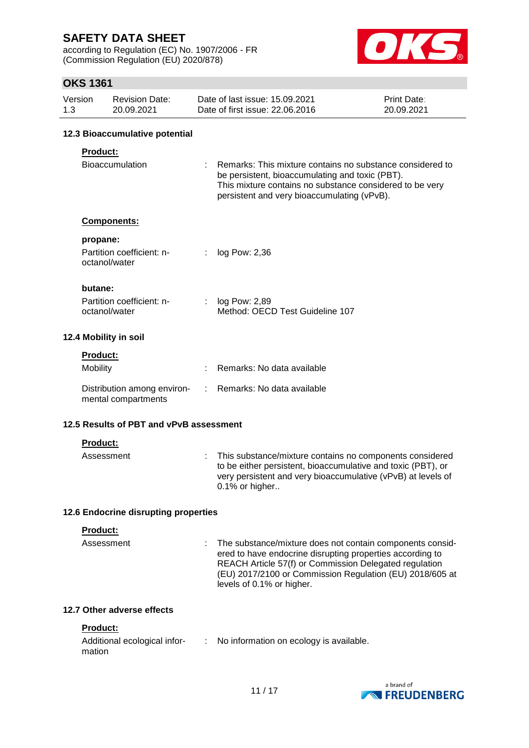according to Regulation (EC) No. 1907/2006 - FR (Commission Regulation (EU) 2020/878)



## **OKS 1361**

| Version<br>1.3        | <b>Revision Date:</b><br>20.09.2021 | Date of last issue: 15.09.2021<br>Date of first issue: 22.06.2016 | <b>Print Date:</b><br>20.09.2021 |  |
|-----------------------|-------------------------------------|-------------------------------------------------------------------|----------------------------------|--|
|                       | 12.3 Bioaccumulative potential      |                                                                   |                                  |  |
| <b>Product:</b><br>-- |                                     |                                                                   |                                  |  |

| Bioaccumulation | Remarks: This mixture contains no substance considered to |
|-----------------|-----------------------------------------------------------|
|                 | be persistent, bioaccumulating and toxic (PBT).           |
|                 | This mixture contains no substance considered to be very  |
|                 | persistent and very bioaccumulating (vPvB).               |

#### **Components:**

| propane: |  |  |
|----------|--|--|
|          |  |  |

| Partition coefficient: n-<br>octanol/water | $:$ log Pow: 2,36 |
|--------------------------------------------|-------------------|
|                                            |                   |

#### **butane:**

| Partition coefficient: n- | : $log Pow: 2,89$               |
|---------------------------|---------------------------------|
| octanol/water             | Method: OECD Test Guideline 107 |

### **12.4 Mobility in soil**

| <b>Product:</b>                                    |                              |
|----------------------------------------------------|------------------------------|
| <b>Mobility</b>                                    | : Remarks: No data available |
| Distribution among environ-<br>mental compartments | : Remarks: No data available |

### **12.5 Results of PBT and vPvB assessment**

#### **Product:**

| Assessment | : This substance/mixture contains no components considered<br>to be either persistent, bioaccumulative and toxic (PBT), or |
|------------|----------------------------------------------------------------------------------------------------------------------------|
|            | very persistent and very bioaccumulative (vPvB) at levels of                                                               |
|            | $0.1\%$ or higher                                                                                                          |

### **12.6 Endocrine disrupting properties**

#### **Product:**

Assessment : The substance/mixture does not contain components considered to have endocrine disrupting properties according to REACH Article 57(f) or Commission Delegated regulation (EU) 2017/2100 or Commission Regulation (EU) 2018/605 at levels of 0.1% or higher.

### **12.7 Other adverse effects**

#### **Product:**

| Additional ecological infor- | No information on ecology is available. |
|------------------------------|-----------------------------------------|
| mation                       |                                         |

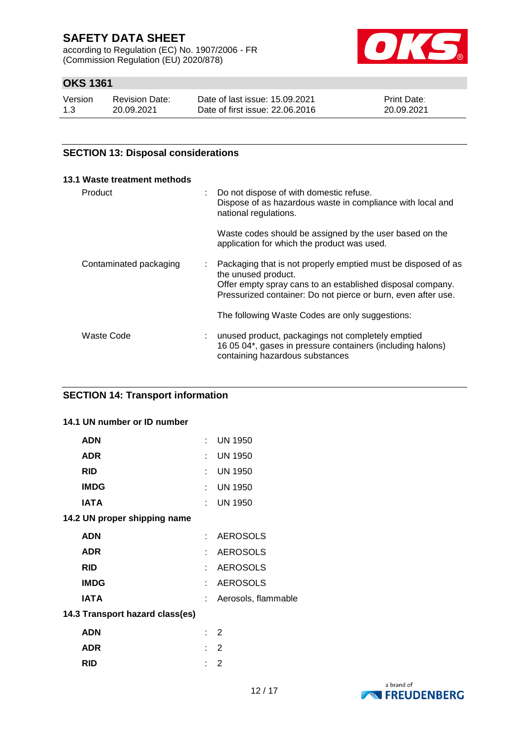according to Regulation (EC) No. 1907/2006 - FR (Commission Regulation (EU) 2020/878)



# **OKS 1361**

| Version | <b>Revision Date:</b> | Date of last issue: 15.09.2021  | <b>Print Date:</b> |
|---------|-----------------------|---------------------------------|--------------------|
| 1.3     | 20.09.2021            | Date of first issue: 22.06.2016 | 20.09.2021         |

### **SECTION 13: Disposal considerations**

| 13.1 Waste treatment methods |   |                                                                                                                                                                                                                     |
|------------------------------|---|---------------------------------------------------------------------------------------------------------------------------------------------------------------------------------------------------------------------|
| Product                      | ÷ | Do not dispose of with domestic refuse.<br>Dispose of as hazardous waste in compliance with local and<br>national regulations.                                                                                      |
|                              |   | Waste codes should be assigned by the user based on the<br>application for which the product was used.                                                                                                              |
| Contaminated packaging       | ÷ | Packaging that is not properly emptied must be disposed of as<br>the unused product.<br>Offer empty spray cans to an established disposal company.<br>Pressurized container: Do not pierce or burn, even after use. |
|                              |   | The following Waste Codes are only suggestions:                                                                                                                                                                     |
| Waste Code                   |   | unused product, packagings not completely emptied<br>16 05 04*, gases in pressure containers (including halons)<br>containing hazardous substances                                                                  |

## **SECTION 14: Transport information**

#### **14.1 UN number or ID number**

| <b>ADN</b>                      | t.                          | <b>UN 1950</b>      |
|---------------------------------|-----------------------------|---------------------|
| <b>ADR</b>                      | $\mathcal{F}_{\mathcal{A}}$ | <b>UN 1950</b>      |
| <b>RID</b>                      | t.                          | <b>UN 1950</b>      |
| <b>IMDG</b>                     | t.                          | <b>UN 1950</b>      |
| IATA                            | t.                          | <b>UN 1950</b>      |
| 14.2 UN proper shipping name    |                             |                     |
| <b>ADN</b>                      | t.                          | <b>AEROSOLS</b>     |
| <b>ADR</b>                      | t.                          | <b>AEROSOLS</b>     |
| <b>RID</b>                      | t.                          | <b>AEROSOLS</b>     |
| <b>IMDG</b>                     | t.                          | <b>AEROSOLS</b>     |
| IATA                            |                             | Aerosols, flammable |
| 14.3 Transport hazard class(es) |                             |                     |
| <b>ADN</b>                      |                             | 2                   |
| ADR                             |                             | 2                   |
|                                 |                             |                     |

**RID** : 2

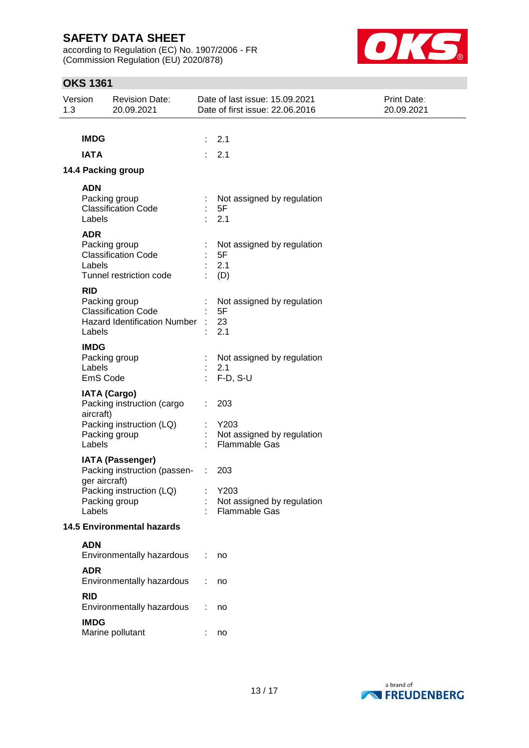according to Regulation (EC) No. 1907/2006 - FR (Commission Regulation (EU) 2020/878)



# **OKS 1361**

| Version<br>1.3 |                                   | <b>Revision Date:</b><br>20.09.2021                                                            |                                                | Date of last issue: 15.09.2021<br>Date of first issue: 22.06.2016 | <b>Print Date:</b><br>20.09.2021 |
|----------------|-----------------------------------|------------------------------------------------------------------------------------------------|------------------------------------------------|-------------------------------------------------------------------|----------------------------------|
|                |                                   |                                                                                                |                                                |                                                                   |                                  |
|                | <b>IMDG</b>                       |                                                                                                |                                                | 2.1                                                               |                                  |
|                | <b>IATA</b>                       |                                                                                                |                                                | 2.1                                                               |                                  |
|                |                                   | 14.4 Packing group                                                                             |                                                |                                                                   |                                  |
|                | <b>ADN</b>                        |                                                                                                |                                                |                                                                   |                                  |
|                | Labels                            | Packing group<br><b>Classification Code</b>                                                    |                                                | Not assigned by regulation<br>5F<br>2.1                           |                                  |
|                | <b>ADR</b><br>Labels              | Packing group<br><b>Classification Code</b><br>Tunnel restriction code                         |                                                | Not assigned by regulation<br>5F<br>2.1<br>(D)                    |                                  |
|                | <b>RID</b><br>Labels              | Packing group<br><b>Classification Code</b><br><b>Hazard Identification Number</b>             |                                                | Not assigned by regulation<br>5F<br>23<br>2.1                     |                                  |
|                | <b>IMDG</b><br>Labels<br>EmS Code | Packing group                                                                                  |                                                | Not assigned by regulation<br>2.1<br>$F-D, S-U$                   |                                  |
|                | aircraft)<br>Labels               | <b>IATA (Cargo)</b><br>Packing instruction (cargo<br>Packing instruction (LQ)<br>Packing group |                                                | 203<br>Y203<br>Not assigned by regulation<br><b>Flammable Gas</b> |                                  |
|                | ger aircraft)                     | <b>IATA (Passenger)</b><br>Packing instruction (passen-<br>Packing instruction (LQ)            | $\sim$ 10<br><b>Contract Contract Contract</b> | 203<br>Y203                                                       |                                  |
|                | Labels                            | Packing group                                                                                  |                                                | Not assigned by regulation<br>Flammable Gas                       |                                  |
|                |                                   | <b>14.5 Environmental hazards</b>                                                              |                                                |                                                                   |                                  |
|                | <b>ADN</b>                        |                                                                                                |                                                |                                                                   |                                  |
|                |                                   | Environmentally hazardous                                                                      |                                                | no                                                                |                                  |
|                | <b>ADR</b>                        | Environmentally hazardous                                                                      |                                                | no                                                                |                                  |
|                | <b>RID</b>                        | Environmentally hazardous                                                                      |                                                | no                                                                |                                  |
|                | <b>IMDG</b>                       | Marine pollutant                                                                               |                                                | no                                                                |                                  |

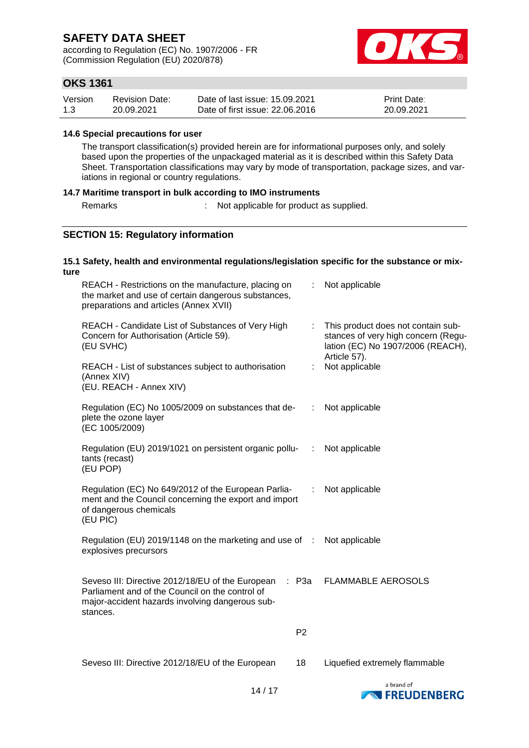according to Regulation (EC) No. 1907/2006 - FR (Commission Regulation (EU) 2020/878)



## **OKS 1361**

| Version | <b>Revision Date:</b> | Date of last issue: 15.09.2021  | <b>Print Date:</b> |
|---------|-----------------------|---------------------------------|--------------------|
| 1.3     | 20.09.2021            | Date of first issue: 22,06,2016 | 20.09.2021         |

#### **14.6 Special precautions for user**

The transport classification(s) provided herein are for informational purposes only, and solely based upon the properties of the unpackaged material as it is described within this Safety Data Sheet. Transportation classifications may vary by mode of transportation, package sizes, and variations in regional or country regulations.

#### **14.7 Maritime transport in bulk according to IMO instruments**

Remarks : Not applicable for product as supplied.

## **SECTION 15: Regulatory information**

#### **15.1 Safety, health and environmental regulations/legislation specific for the substance or mixture**

| REACH - Restrictions on the manufacture, placing on<br>the market and use of certain dangerous substances,<br>preparations and articles (Annex XVII)               |                | Not applicable                                                                                                                 |
|--------------------------------------------------------------------------------------------------------------------------------------------------------------------|----------------|--------------------------------------------------------------------------------------------------------------------------------|
| REACH - Candidate List of Substances of Very High<br>Concern for Authorisation (Article 59).<br>(EU SVHC)                                                          |                | This product does not contain sub-<br>stances of very high concern (Regu-<br>lation (EC) No 1907/2006 (REACH),<br>Article 57). |
| REACH - List of substances subject to authorisation<br>(Annex XIV)<br>(EU. REACH - Annex XIV)                                                                      | ÷.             | Not applicable                                                                                                                 |
| Regulation (EC) No 1005/2009 on substances that de-<br>plete the ozone layer<br>(EC 1005/2009)                                                                     | ÷.             | Not applicable                                                                                                                 |
| Regulation (EU) 2019/1021 on persistent organic pollu-<br>tants (recast)<br>(EU POP)                                                                               | ÷              | Not applicable                                                                                                                 |
| Regulation (EC) No 649/2012 of the European Parlia-<br>ment and the Council concerning the export and import<br>of dangerous chemicals<br>(EU PIC)                 | ÷              | Not applicable                                                                                                                 |
| Regulation (EU) 2019/1148 on the marketing and use of :<br>explosives precursors                                                                                   |                | Not applicable                                                                                                                 |
| Seveso III: Directive 2012/18/EU of the European<br>Parliament and of the Council on the control of<br>major-accident hazards involving dangerous sub-<br>stances. | $:$ P3a        | <b>FLAMMABLE AEROSOLS</b>                                                                                                      |
|                                                                                                                                                                    | P <sub>2</sub> |                                                                                                                                |
| Seveso III: Directive 2012/18/EU of the European                                                                                                                   | 18             | Liquefied extremely flammable                                                                                                  |
| 14/17                                                                                                                                                              |                | a brand of<br>EDELINENREDG                                                                                                     |

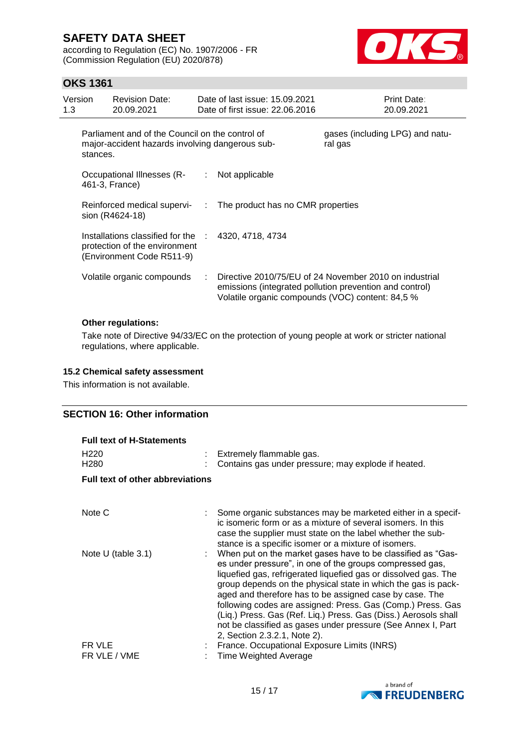according to Regulation (EC) No. 1907/2006 - FR (Commission Regulation (EU) 2020/878)



## **OKS 1361**

| Version<br>1.3 | <b>Revision Date:</b><br>20.09.2021                                                                |                             | Date of last issue: 15.09.2021<br>Date of first issue: 22.06.2016 | <b>Print Date:</b><br>20.09.2021                                                                                  |
|----------------|----------------------------------------------------------------------------------------------------|-----------------------------|-------------------------------------------------------------------|-------------------------------------------------------------------------------------------------------------------|
| stances.       | Parliament and of the Council on the control of<br>major-accident hazards involving dangerous sub- |                             |                                                                   | gases (including LPG) and natu-<br>ral gas                                                                        |
|                | Occupational Illnesses (R-<br>461-3, France)                                                       | $\langle 1 \rangle$         | Not applicable                                                    |                                                                                                                   |
|                | Reinforced medical supervi-<br>sion (R4624-18)                                                     | $\mathcal{A}^{\mathcal{A}}$ | The product has no CMR properties                                 |                                                                                                                   |
|                | Installations classified for the :<br>protection of the environment<br>(Environment Code R511-9)   |                             | 4320, 4718, 4734                                                  |                                                                                                                   |
|                | Volatile organic compounds                                                                         |                             | Volatile organic compounds (VOC) content: 84,5 %                  | Directive 2010/75/EU of 24 November 2010 on industrial<br>emissions (integrated pollution prevention and control) |
|                | <b>Other regulations:</b>                                                                          |                             |                                                                   |                                                                                                                   |

Take note of Directive 94/33/EC on the protection of young people at work or stricter national regulations, where applicable.

### **15.2 Chemical safety assessment**

This information is not available.

### **SECTION 16: Other information**

| <b>Full text of H-Statements</b><br>H <sub>220</sub><br>H <sub>280</sub><br><b>Full text of other abbreviations</b> | Extremely flammable gas.<br>Contains gas under pressure; may explode if heated.                                                                                                                                                                                                                                                                                                                                                                                                                                                                          |
|---------------------------------------------------------------------------------------------------------------------|----------------------------------------------------------------------------------------------------------------------------------------------------------------------------------------------------------------------------------------------------------------------------------------------------------------------------------------------------------------------------------------------------------------------------------------------------------------------------------------------------------------------------------------------------------|
|                                                                                                                     |                                                                                                                                                                                                                                                                                                                                                                                                                                                                                                                                                          |
| Note C                                                                                                              | Some organic substances may be marketed either in a specif-<br>ic isomeric form or as a mixture of several isomers. In this<br>case the supplier must state on the label whether the sub-<br>stance is a specific isomer or a mixture of isomers.                                                                                                                                                                                                                                                                                                        |
| Note U (table $3.1$ )                                                                                               | When put on the market gases have to be classified as "Gas-<br>es under pressure", in one of the groups compressed gas,<br>liquefied gas, refrigerated liquefied gas or dissolved gas. The<br>group depends on the physical state in which the gas is pack-<br>aged and therefore has to be assigned case by case. The<br>following codes are assigned: Press. Gas (Comp.) Press. Gas<br>(Liq.) Press. Gas (Ref. Liq.) Press. Gas (Diss.) Aerosols shall<br>not be classified as gases under pressure (See Annex I, Part<br>2, Section 2.3.2.1, Note 2). |
| FR VLE<br>FR VLE / VME                                                                                              | France. Occupational Exposure Limits (INRS)<br><b>Time Weighted Average</b>                                                                                                                                                                                                                                                                                                                                                                                                                                                                              |

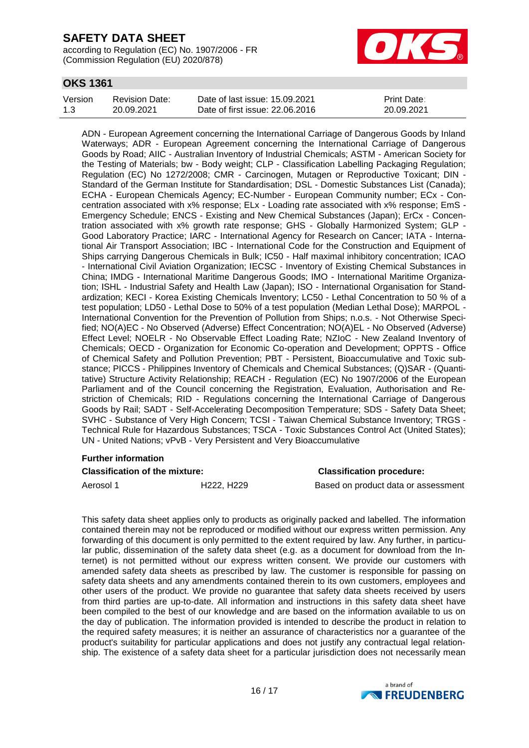according to Regulation (EC) No. 1907/2006 - FR (Commission Regulation (EU) 2020/878)



## **OKS 1361**

| Version | <b>Revision Date:</b> | Date of last issue: 15.09.2021  | <b>Print Date:</b> |
|---------|-----------------------|---------------------------------|--------------------|
| 1.3     | 20.09.2021            | Date of first issue: 22.06.2016 | 20.09.2021         |

ADN - European Agreement concerning the International Carriage of Dangerous Goods by Inland Waterways; ADR - European Agreement concerning the International Carriage of Dangerous Goods by Road; AIIC - Australian Inventory of Industrial Chemicals; ASTM - American Society for the Testing of Materials; bw - Body weight; CLP - Classification Labelling Packaging Regulation; Regulation (EC) No 1272/2008; CMR - Carcinogen, Mutagen or Reproductive Toxicant; DIN - Standard of the German Institute for Standardisation; DSL - Domestic Substances List (Canada); ECHA - European Chemicals Agency; EC-Number - European Community number; ECx - Concentration associated with x% response; ELx - Loading rate associated with x% response; EmS - Emergency Schedule; ENCS - Existing and New Chemical Substances (Japan); ErCx - Concentration associated with x% growth rate response; GHS - Globally Harmonized System; GLP - Good Laboratory Practice; IARC - International Agency for Research on Cancer; IATA - International Air Transport Association; IBC - International Code for the Construction and Equipment of Ships carrying Dangerous Chemicals in Bulk; IC50 - Half maximal inhibitory concentration; ICAO - International Civil Aviation Organization; IECSC - Inventory of Existing Chemical Substances in China; IMDG - International Maritime Dangerous Goods; IMO - International Maritime Organization; ISHL - Industrial Safety and Health Law (Japan); ISO - International Organisation for Standardization; KECI - Korea Existing Chemicals Inventory; LC50 - Lethal Concentration to 50 % of a test population; LD50 - Lethal Dose to 50% of a test population (Median Lethal Dose); MARPOL - International Convention for the Prevention of Pollution from Ships; n.o.s. - Not Otherwise Specified; NO(A)EC - No Observed (Adverse) Effect Concentration; NO(A)EL - No Observed (Adverse) Effect Level; NOELR - No Observable Effect Loading Rate; NZIoC - New Zealand Inventory of Chemicals; OECD - Organization for Economic Co-operation and Development; OPPTS - Office of Chemical Safety and Pollution Prevention; PBT - Persistent, Bioaccumulative and Toxic substance; PICCS - Philippines Inventory of Chemicals and Chemical Substances; (Q)SAR - (Quantitative) Structure Activity Relationship; REACH - Regulation (EC) No 1907/2006 of the European Parliament and of the Council concerning the Registration, Evaluation, Authorisation and Restriction of Chemicals; RID - Regulations concerning the International Carriage of Dangerous Goods by Rail; SADT - Self-Accelerating Decomposition Temperature; SDS - Safety Data Sheet; SVHC - Substance of Very High Concern; TCSI - Taiwan Chemical Substance Inventory; TRGS - Technical Rule for Hazardous Substances; TSCA - Toxic Substances Control Act (United States); UN - United Nations; vPvB - Very Persistent and Very Bioaccumulative

### **Further information**

#### **Classification of the mixture: Classification procedure:**

Aerosol 1 **H222, H229** Based on product data or assessment

This safety data sheet applies only to products as originally packed and labelled. The information contained therein may not be reproduced or modified without our express written permission. Any forwarding of this document is only permitted to the extent required by law. Any further, in particular public, dissemination of the safety data sheet (e.g. as a document for download from the Internet) is not permitted without our express written consent. We provide our customers with amended safety data sheets as prescribed by law. The customer is responsible for passing on safety data sheets and any amendments contained therein to its own customers, employees and other users of the product. We provide no guarantee that safety data sheets received by users from third parties are up-to-date. All information and instructions in this safety data sheet have been compiled to the best of our knowledge and are based on the information available to us on the day of publication. The information provided is intended to describe the product in relation to the required safety measures; it is neither an assurance of characteristics nor a guarantee of the product's suitability for particular applications and does not justify any contractual legal relationship. The existence of a safety data sheet for a particular jurisdiction does not necessarily mean